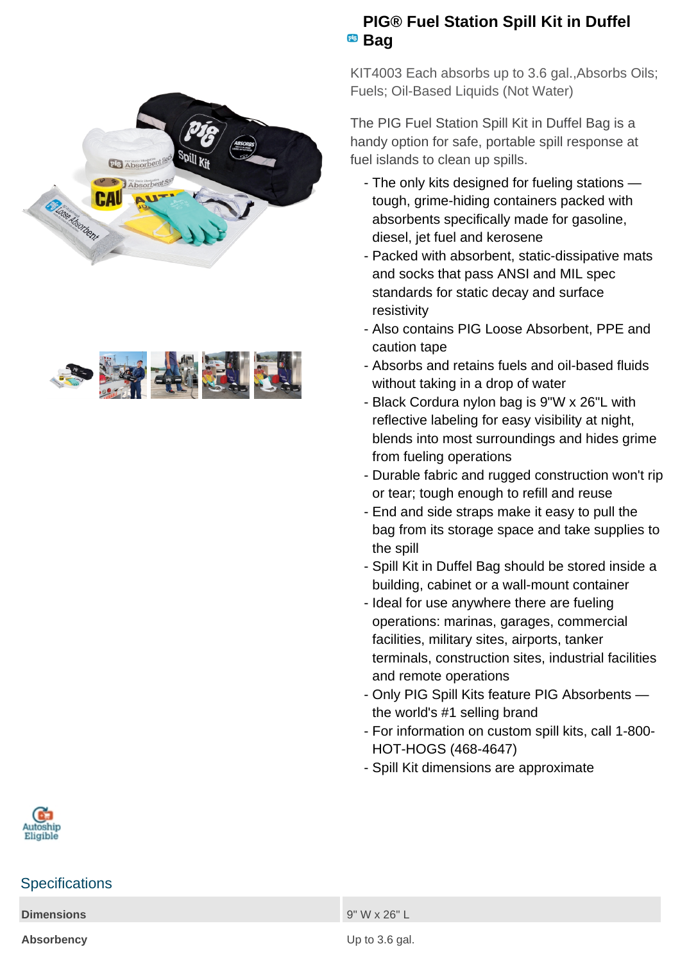



## **PIG® Fuel Station Spill Kit in Duffel** <sup>pig</sup> Bag

KIT4003 Each absorbs up to 3.6 gal.,Absorbs Oils; Fuels; Oil-Based Liquids (Not Water)

The PIG Fuel Station Spill Kit in Duffel Bag is a handy option for safe, portable spill response at fuel islands to clean up spills.

- The only kits designed for fueling stations tough, grime-hiding containers packed with absorbents specifically made for gasoline, diesel, jet fuel and kerosene
- Packed with absorbent, static-dissipative mats and socks that pass ANSI and MIL spec standards for static decay and surface resistivity
- Also contains PIG Loose Absorbent, PPE and caution tape
- Absorbs and retains fuels and oil-based fluids without taking in a drop of water
- Black Cordura nylon bag is 9"W x 26"L with reflective labeling for easy visibility at night, blends into most surroundings and hides grime from fueling operations
- Durable fabric and rugged construction won't rip or tear; tough enough to refill and reuse
- End and side straps make it easy to pull the bag from its storage space and take supplies to the spill
- Spill Kit in Duffel Bag should be stored inside a building, cabinet or a wall-mount container
- Ideal for use anywhere there are fueling operations: marinas, garages, commercial facilities, military sites, airports, tanker terminals, construction sites, industrial facilities and remote operations
- Only PIG Spill Kits feature PIG Absorbents the world's #1 selling brand
- For information on custom spill kits, call 1-800-HOT-HOGS (468-4647)
- Spill Kit dimensions are approximate



## **Specifications**

**Dimensions** 9" W x 26" L

**Absorbency** Up to 3.6 gal.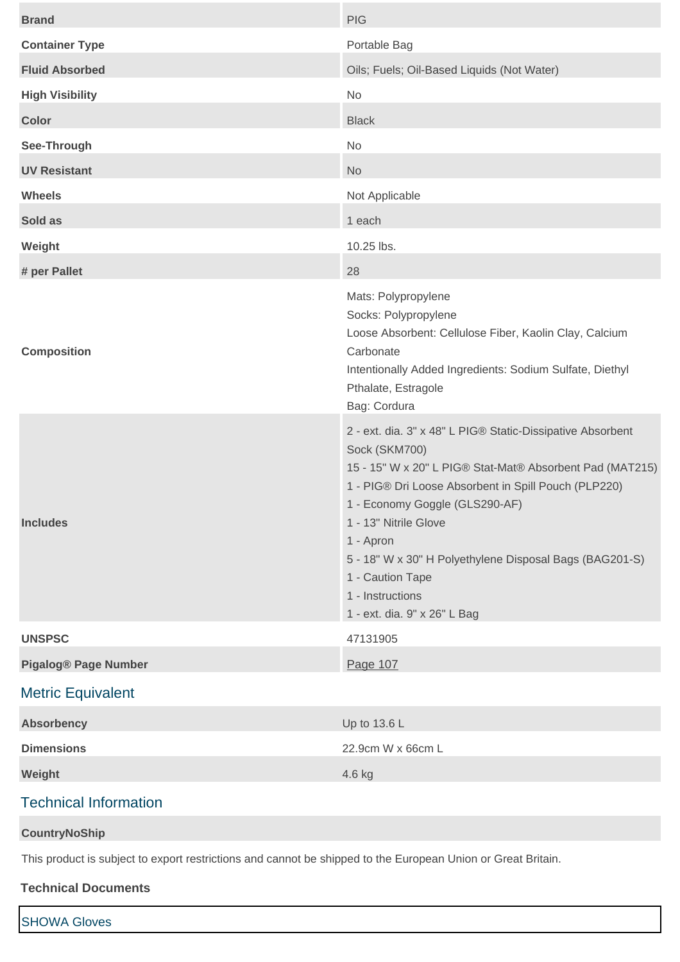| <b>Brand</b>                | <b>PIG</b>                                                                                                                                                                                                                                                                                                                                                                                                 |
|-----------------------------|------------------------------------------------------------------------------------------------------------------------------------------------------------------------------------------------------------------------------------------------------------------------------------------------------------------------------------------------------------------------------------------------------------|
| <b>Container Type</b>       | Portable Bag                                                                                                                                                                                                                                                                                                                                                                                               |
| <b>Fluid Absorbed</b>       | Oils; Fuels; Oil-Based Liquids (Not Water)                                                                                                                                                                                                                                                                                                                                                                 |
| <b>High Visibility</b>      | <b>No</b>                                                                                                                                                                                                                                                                                                                                                                                                  |
| <b>Color</b>                | <b>Black</b>                                                                                                                                                                                                                                                                                                                                                                                               |
| See-Through                 | No                                                                                                                                                                                                                                                                                                                                                                                                         |
| <b>UV Resistant</b>         | <b>No</b>                                                                                                                                                                                                                                                                                                                                                                                                  |
| <b>Wheels</b>               | Not Applicable                                                                                                                                                                                                                                                                                                                                                                                             |
| Sold as                     | 1 each                                                                                                                                                                                                                                                                                                                                                                                                     |
| Weight                      | 10.25 lbs.                                                                                                                                                                                                                                                                                                                                                                                                 |
| # per Pallet                | 28                                                                                                                                                                                                                                                                                                                                                                                                         |
| <b>Composition</b>          | Mats: Polypropylene<br>Socks: Polypropylene<br>Loose Absorbent: Cellulose Fiber, Kaolin Clay, Calcium<br>Carbonate<br>Intentionally Added Ingredients: Sodium Sulfate, Diethyl<br>Pthalate, Estragole<br>Bag: Cordura                                                                                                                                                                                      |
| <b>Includes</b>             | 2 - ext. dia. 3" x 48" L PIG® Static-Dissipative Absorbent<br>Sock (SKM700)<br>15 - 15" W x 20" L PIG® Stat-Mat® Absorbent Pad (MAT215)<br>1 - PIG® Dri Loose Absorbent in Spill Pouch (PLP220)<br>1 - Economy Goggle (GLS290-AF)<br>1 - 13" Nitrile Glove<br>1 - Apron<br>5 - 18" W x 30" H Polyethylene Disposal Bags (BAG201-S)<br>1 - Caution Tape<br>1 - Instructions<br>1 - ext. dia. 9" x 26" L Bag |
| <b>UNSPSC</b>               | 47131905                                                                                                                                                                                                                                                                                                                                                                                                   |
| <b>Pigalog® Page Number</b> | Page 107                                                                                                                                                                                                                                                                                                                                                                                                   |
| <b>Metric Equivalent</b>    |                                                                                                                                                                                                                                                                                                                                                                                                            |
|                             |                                                                                                                                                                                                                                                                                                                                                                                                            |

| <b>Absorbency</b> | Up to $13.6 L$    |
|-------------------|-------------------|
| <b>Dimensions</b> | 22.9cm W x 66cm L |
| Weight            | 4.6 kg            |

## Technical Information

#### **CountryNoShip**

This product is subject to export restrictions and cannot be shipped to the European Union or Great Britain.

#### **Technical Documents**